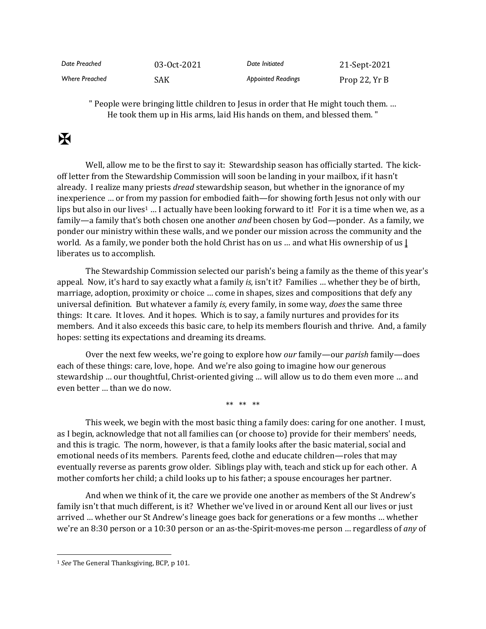| Date Preached         | 03-0ct-2021 | Date Initiated            | 21-Sept-2021   |
|-----------------------|-------------|---------------------------|----------------|
| <b>Where Preached</b> | SAK         | <b>Appointed Readings</b> | Prop 22, $YrB$ |

" People were bringing little children to Jesus in order that He might touch them. … He took them up in His arms, laid His hands on them, and blessed them. "

## $\mathbf F$

Well, allow me to be the first to say it: Stewardship season has officially started. The kickoff letter from the Stewardship Commission will soon be landing in your mailbox, if it hasn't already. I realize many priests *dread* stewardship season, but whether in the ignorance of my inexperience … or from my passion for embodied faith—for showing forth Jesus not only with our lips but also in our lives<sup>1</sup> ... I actually have been looking forward to it! For it is a time when we, as a family—a family that's both chosen one another *and* been chosen by God—ponder. As a family, we ponder our ministry within these walls, and we ponder our mission across the community and the world. As a family, we ponder both the hold Christ has on us … and what His ownership of us **|** liberates us to accomplish.

The Stewardship Commission selected our parish's being a family as the theme of this year's appeal. Now, it's hard to say exactly what a family *is,* isn't it? Families … whether they be of birth, marriage, adoption, proximity or choice … come in shapes, sizes and compositions that defy any universal definition. But whatever a family *is,* every family, in some way, *does* the same three things: It care. It loves. And it hopes. Which is to say, a family nurtures and provides for its members. And it also exceeds this basic care, to help its members flourish and thrive. And, a family hopes: setting its expectations and dreaming its dreams.

Over the next few weeks, we're going to explore how *our* family—our *parish* family—does each of these things: care, love, hope. And we're also going to imagine how our generous stewardship … our thoughtful, Christ-oriented giving … will allow us to do them even more … and even better … than we do now.

\*\* \*\* \*\*

This week, we begin with the most basic thing a family does: caring for one another. I must, as I begin, acknowledge that not all families can (or choose to) provide for their members' needs, and this is tragic. The norm, however, is that a family looks after the basic material, social and emotional needs of its members. Parents feed, clothe and educate children—roles that may eventually reverse as parents grow older. Siblings play with, teach and stick up for each other. A mother comforts her child; a child looks up to his father; a spouse encourages her partner.

And when we think of it, the care we provide one another as members of the St Andrew's family isn't that much different, is it? Whether we've lived in or around Kent all our lives or just arrived … whether our St Andrew's lineage goes back for generations or a few months … whether we're an 8:30 person or a 10:30 person or an as-the-Spirit-moves-me person … regardless of *any* of

<sup>1</sup> *See* The General Thanksgiving, BCP, p 101.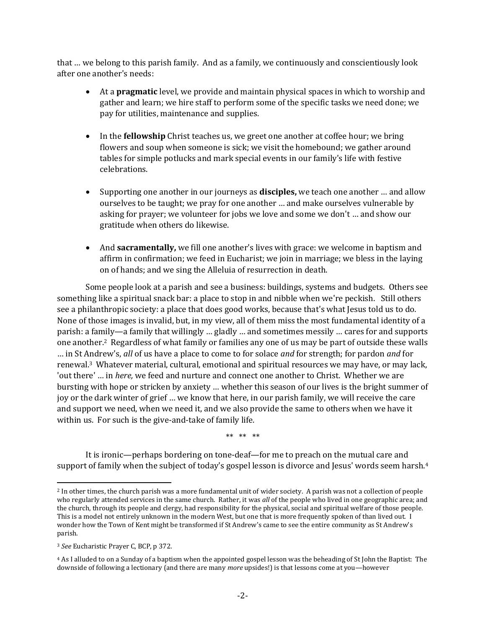that … we belong to this parish family. And as a family, we continuously and conscientiously look after one another's needs:

- At a **pragmatic** level, we provide and maintain physical spaces in which to worship and gather and learn; we hire staff to perform some of the specific tasks we need done; we pay for utilities, maintenance and supplies.
- In the **fellowship** Christ teaches us, we greet one another at coffee hour; we bring flowers and soup when someone is sick; we visit the homebound; we gather around tables for simple potlucks and mark special events in our family's life with festive celebrations.
- Supporting one another in our journeys as **disciples,** we teach one another … and allow ourselves to be taught; we pray for one another … and make ourselves vulnerable by asking for prayer; we volunteer for jobs we love and some we don't … and show our gratitude when others do likewise.
- And **sacramentally,** we fill one another's lives with grace: we welcome in baptism and affirm in confirmation; we feed in Eucharist; we join in marriage; we bless in the laying on of hands; and we sing the Alleluia of resurrection in death.

Some people look at a parish and see a business: buildings, systems and budgets. Others see something like a spiritual snack bar: a place to stop in and nibble when we're peckish. Still others see a philanthropic society: a place that does good works, because that's what Jesus told us to do. None of those images is invalid, but, in my view, all of them miss the most fundamental identity of a parish: a family—a family that willingly … gladly … and sometimes messily … cares for and supports one another.2 Regardless of what family or families any one of us may be part of outside these walls … in St Andrew's, *all* of us have a place to come to for solace *and* for strength; for pardon *and* for renewal.3 Whatever material, cultural, emotional and spiritual resources we may have, or may lack, 'out there' … in *here,* we feed and nurture and connect one another to Christ. Whether we are bursting with hope or stricken by anxiety … whether this season of our lives is the bright summer of joy or the dark winter of grief … we know that here, in our parish family, we will receive the care and support we need, when we need it, and we also provide the same to others when we have it within us. For such is the give-and-take of family life.

\*\* \*\* \*\*

It is ironic—perhaps bordering on tone-deaf—for me to preach on the mutual care and support of family when the subject of today's gospel lesson is divorce and Jesus' words seem harsh.<sup>4</sup>

<sup>&</sup>lt;sup>2</sup> In other times, the church parish was a more fundamental unit of wider society. A parish was not a collection of people who regularly attended services in the same church. Rather, it was *all* of the people who lived in one geographic area; and the church, through its people and clergy, had responsibility for the physical, social and spiritual welfare of those people. This is a model not entirely unknown in the modern West, but one that is more frequently spoken of than lived out. I wonder how the Town of Kent might be transformed if St Andrew's came to see the entire community as St Andrew's parish.

<sup>3</sup> *See* Eucharistic Prayer C, BCP, p 372.

<sup>4</sup> As I alluded to on a Sunday of a baptism when the appointed gospel lesson was the beheading of St John the Baptist: The downside of following a lectionary (and there are many *more* upsides!) is that lessons come at you—however